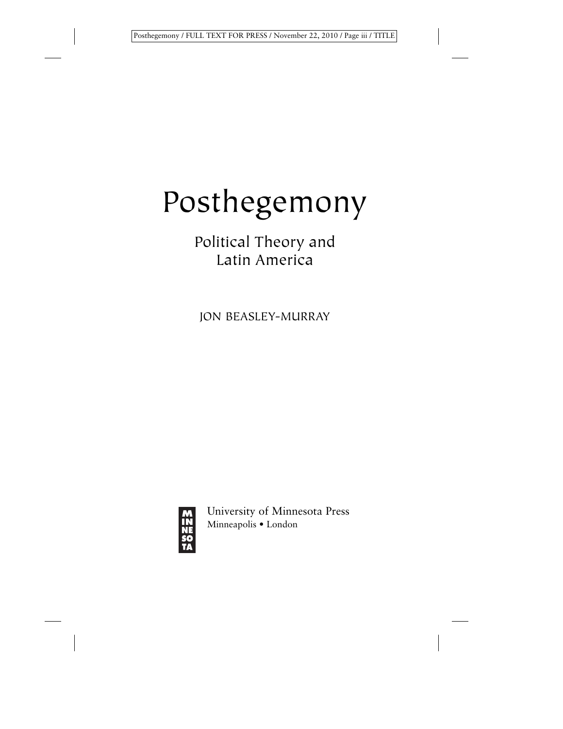# Posthegemony

Political Theory and Latin America

JON BEASLEY-MURRAY



University of Minnesota Press Minneapolis • London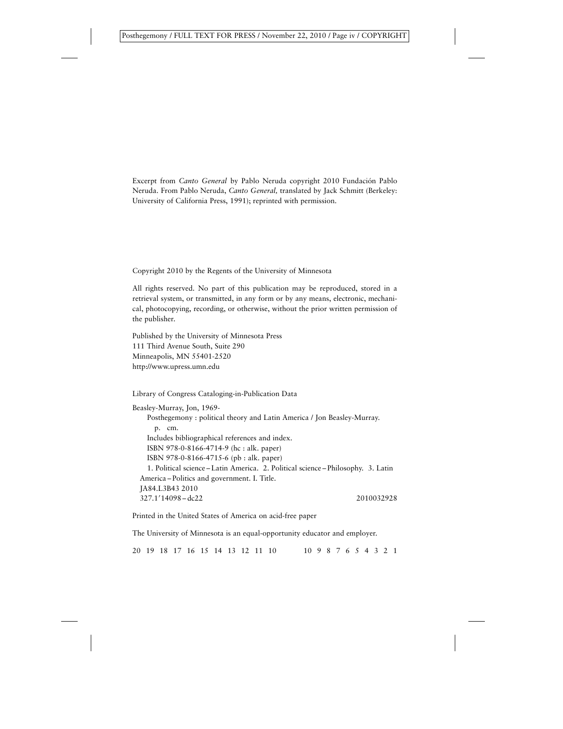Excerpt from *Canto General* by Pablo Neruda copyright 2010 Fundación Pablo Neruda. From Pablo Neruda, *Canto General,* translated by Jack Schmitt (Berkeley: University of California Press, 1991); reprinted with permission.

Copyright 2010 by the Regents of the University of Minnesota

All rights reserved. No part of this publication may be reproduced, stored in a retrieval system, or transmitted, in any form or by any means, electronic, mechanical, photocopying, recording, or otherwise, without the prior written permission of the publisher.

Published by the University of Minnesota Press 111 Third Avenue South, Suite 290 Minneapolis, MN 55401-2520 http://www.upress.umn.edu

Library of Congress Cataloging-in-Publication Data

Beasley-Murray, Jon, 1969- Posthegemony : political theory and Latin America / Jon Beasley-Murray. p. cm. Includes bibliographical references and index. ISBN 978-0-8166-4714-9 (hc : alk. paper) ISBN 978-0-8166-4715-6 (pb : alk. paper) 1. Political science – Latin America. 2. Political science – Philosophy. 3. Latin America – Politics and government. I. Title. JA84.L3B43 2010 327.1!14098 – dc22 2010032928

Printed in the United States of America on acid-free paper

The University of Minnesota is an equal-opportunity educator and employer.

20 19 18 17 16 15 14 13 12 11 10 10 9 8 7 6 5 4 3 2 1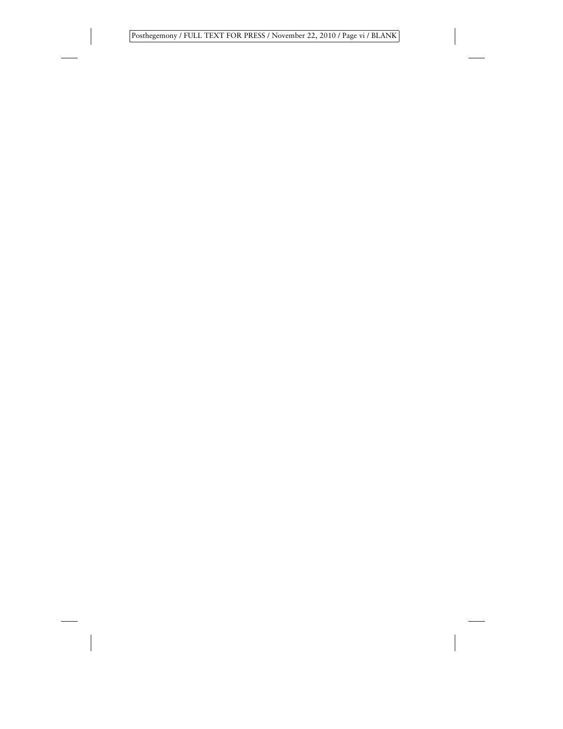Posthegemony / FULL TEXT FOR PRESS / November 22, 2010 / Page vi / BLANK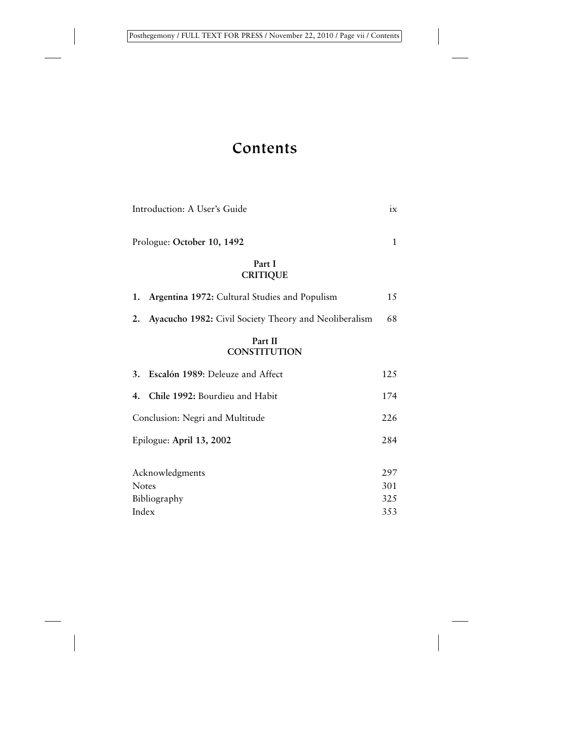# **Contents**

| Introduction: A User's Guide                                | ix         |
|-------------------------------------------------------------|------------|
| Prologue: October 10, 1492                                  | 1          |
| Part I<br><b>CRITIQUE</b>                                   |            |
| Argentina 1972: Cultural Studies and Populism<br>1.         | 15         |
| Ayacucho 1982: Civil Society Theory and Neoliberalism<br>2. | 68         |
| Part II<br><b>CONSTITUTION</b>                              |            |
| Escalón 1989: Deleuze and Affect<br>3.                      | 125        |
| Chile 1992: Bourdieu and Habit<br>4.                        | 174        |
| Conclusion: Negri and Multitude                             | 226        |
| Epilogue: April 13, 2002                                    | 284        |
| Acknowledgments<br><b>Notes</b>                             | 297<br>301 |
| Bibliography                                                | 325        |
| Index                                                       | 353        |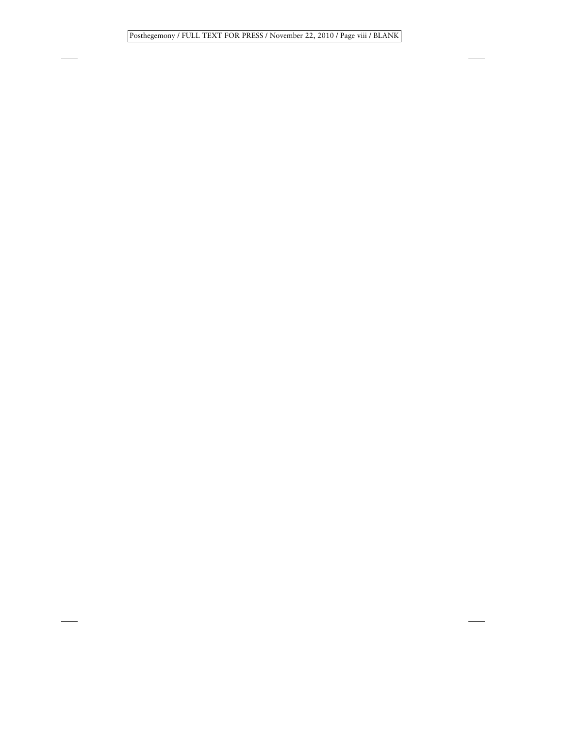Posthegemony / FULL TEXT FOR PRESS / November 22, 2010 / Page viii / BLANK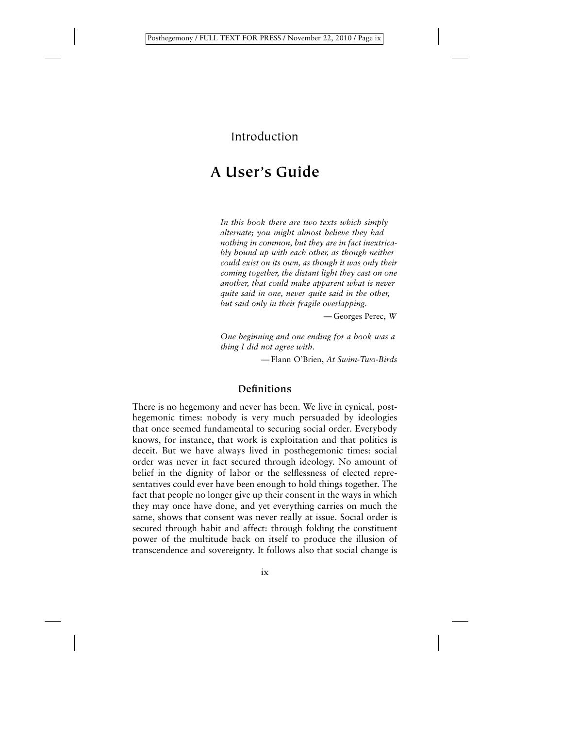# Introduction

# **A User's Guide**

*In this book there are two texts which simply alternate; you might almost believe they had nothing in common, but they are in fact inextricably bound up with each other, as though neither could exist on its own, as though it was only their coming together, the distant light they cast on one another, that could make apparent what is never quite said in one, never quite said in the other, but said only in their fragile overlapping.*

— Georges Perec, *W*

*One beginning and one ending for a book was a thing I did not agree with.*

— Flann O'Brien, *At Swim-Two-Birds*

#### **Definitions**

There is no hegemony and never has been. We live in cynical, posthegemonic times: nobody is very much persuaded by ideologies that once seemed fundamental to securing social order. Everybody knows, for instance, that work is exploitation and that politics is deceit. But we have always lived in posthegemonic times: social order was never in fact secured through ideology. No amount of belief in the dignity of labor or the selflessness of elected representatives could ever have been enough to hold things together. The fact that people no longer give up their consent in the ways in which they may once have done, and yet everything carries on much the same, shows that consent was never really at issue. Social order is secured through habit and affect: through folding the constituent power of the multitude back on itself to produce the illusion of transcendence and sovereignty. It follows also that social change is

ix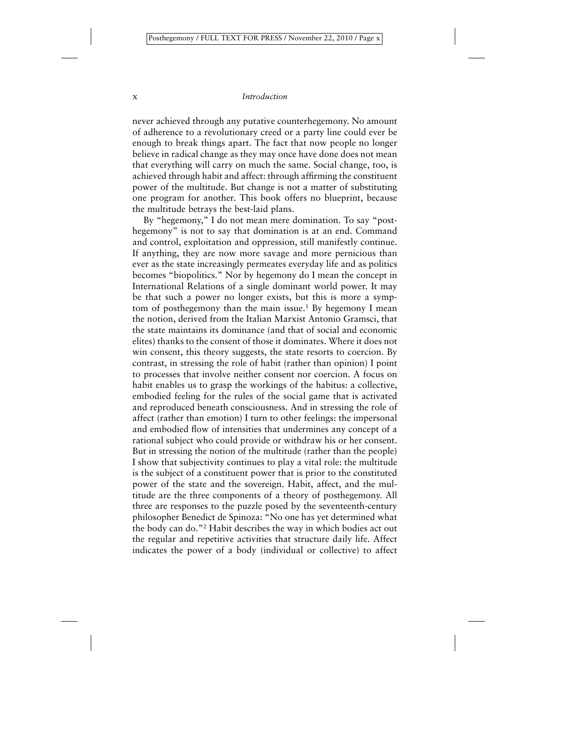#### x *Introduction*

never achieved through any putative counterhegemony. No amount of adherence to a revolutionary creed or a party line could ever be enough to break things apart. The fact that now people no longer believe in radical change as they may once have done does not mean that everything will carry on much the same. Social change, too, is achieved through habit and affect: through affirming the constituent power of the multitude. But change is not a matter of substituting one program for another. This book offers no blueprint, because the multitude betrays the best-laid plans.

By "hegemony," I do not mean mere domination. To say "posthegemony" is not to say that domination is at an end. Command and control, exploitation and oppression, still manifestly continue. If anything, they are now more savage and more pernicious than ever as the state increasingly permeates everyday life and as politics becomes "biopolitics." Nor by hegemony do I mean the concept in International Relations of a single dominant world power. It may be that such a power no longer exists, but this is more a symptom of posthegemony than the main issue.<sup>1</sup> By hegemony I mean the notion, derived from the Italian Marxist Antonio Gramsci, that the state maintains its dominance (and that of social and economic elites) thanks to the consent of those it dominates. Where it does not win consent, this theory suggests, the state resorts to coercion. By contrast, in stressing the role of habit (rather than opinion) I point to processes that involve neither consent nor coercion. A focus on habit enables us to grasp the workings of the habitus: a collective, embodied feeling for the rules of the social game that is activated and reproduced beneath consciousness. And in stressing the role of affect (rather than emotion) I turn to other feelings: the impersonal and embodied flow of intensities that undermines any concept of a rational subject who could provide or withdraw his or her consent. But in stressing the notion of the multitude (rather than the people) I show that subjectivity continues to play a vital role: the multitude is the subject of a constituent power that is prior to the constituted power of the state and the sovereign. Habit, affect, and the multitude are the three components of a theory of posthegemony. All three are responses to the puzzle posed by the seventeenth-century philosopher Benedict de Spinoza: "No one has yet determined what the body can do."2 Habit describes the way in which bodies act out the regular and repetitive activities that structure daily life. Affect indicates the power of a body (individual or collective) to affect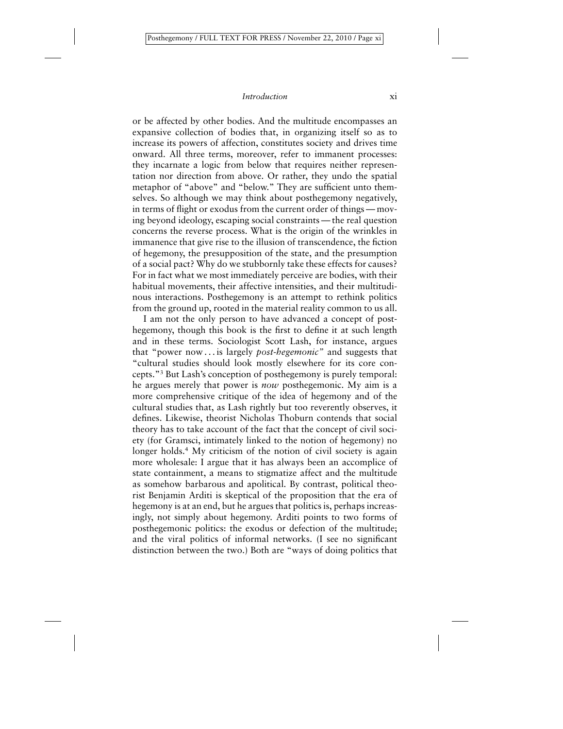#### *Introduction* xi

or be affected by other bodies. And the multitude encompasses an expansive collection of bodies that, in organizing itself so as to increase its powers of affection, constitutes society and drives time onward. All three terms, moreover, refer to immanent processes: they incarnate a logic from below that requires neither representation nor direction from above. Or rather, they undo the spatial metaphor of "above" and "below." They are sufficient unto themselves. So although we may think about posthegemony negatively, in terms of flight or exodus from the current order of things — moving beyond ideology, escaping social constraints — the real question concerns the reverse process. What is the origin of the wrinkles in immanence that give rise to the illusion of transcendence, the fiction of hegemony, the presupposition of the state, and the presumption of a social pact? Why do we stubbornly take these effects for causes? For in fact what we most immediately perceive are bodies, with their habitual movements, their affective intensities, and their multitudinous interactions. Posthegemony is an attempt to rethink politics from the ground up, rooted in the material reality common to us all.

I am not the only person to have advanced a concept of posthegemony, though this book is the first to define it at such length and in these terms. Sociologist Scott Lash, for instance, argues that "power now . . . is largely *post-hegemonic"* and suggests that "cultural studies should look mostly elsewhere for its core concepts."3 But Lash's conception of posthegemony is purely temporal: he argues merely that power is *now* posthegemonic. My aim is a more comprehensive critique of the idea of hegemony and of the cultural studies that, as Lash rightly but too reverently observes, it defines. Likewise, theorist Nicholas Thoburn contends that social theory has to take account of the fact that the concept of civil society (for Gramsci, intimately linked to the notion of hegemony) no longer holds.<sup>4</sup> My criticism of the notion of civil society is again more wholesale: I argue that it has always been an accomplice of state containment, a means to stigmatize affect and the multitude as somehow barbarous and apolitical. By contrast, political theorist Benjamin Arditi is skeptical of the proposition that the era of hegemony is at an end, but he argues that politics is, perhaps increasingly, not simply about hegemony. Arditi points to two forms of posthegemonic politics: the exodus or defection of the multitude; and the viral politics of informal networks. (I see no significant distinction between the two.) Both are "ways of doing politics that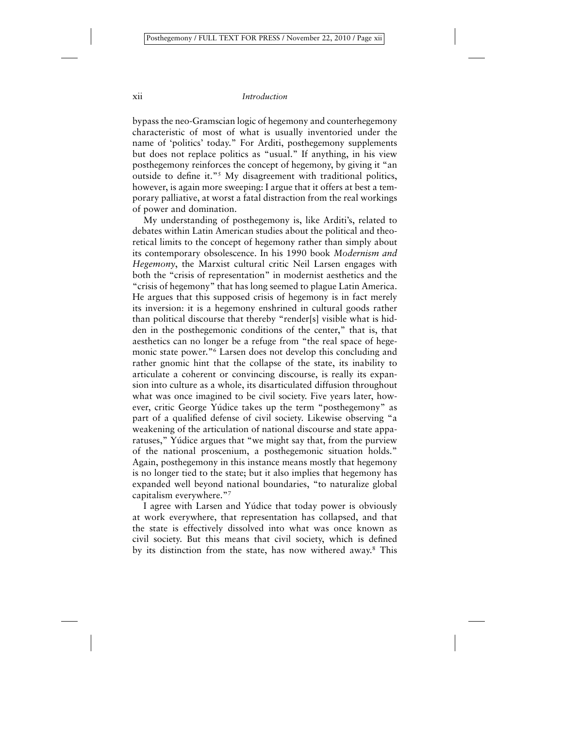#### xii *Introduction*

bypass the neo-Gramscian logic of hegemony and counterhegemony characteristic of most of what is usually inventoried under the name of 'politics' today." For Arditi, posthegemony supplements but does not replace politics as "usual." If anything, in his view posthegemony reinforces the concept of hegemony, by giving it "an outside to define it."5 My disagreement with traditional politics, however, is again more sweeping: I argue that it offers at best a temporary palliative, at worst a fatal distraction from the real workings of power and domination.

My understanding of posthegemony is, like Arditi's, related to debates within Latin American studies about the political and theoretical limits to the concept of hegemony rather than simply about its contemporary obsolescence. In his 1990 book *Modernism and Hegemony*, the Marxist cultural critic Neil Larsen engages with both the "crisis of representation" in modernist aesthetics and the "crisis of hegemony" that has long seemed to plague Latin America. He argues that this supposed crisis of hegemony is in fact merely its inversion: it is a hegemony enshrined in cultural goods rather than political discourse that thereby "render[s] visible what is hidden in the posthegemonic conditions of the center," that is, that aesthetics can no longer be a refuge from "the real space of hegemonic state power."6 Larsen does not develop this concluding and rather gnomic hint that the collapse of the state, its inability to articulate a coherent or convincing discourse, is really its expansion into culture as a whole, its disarticulated diffusion throughout what was once imagined to be civil society. Five years later, however, critic George Yúdice takes up the term "posthegemony" as part of a qualified defense of civil society. Likewise observing "a weakening of the articulation of national discourse and state apparatuses," Yúdice argues that "we might say that, from the purview of the national proscenium, a posthegemonic situation holds." Again, posthegemony in this instance means mostly that hegemony is no longer tied to the state; but it also implies that hegemony has expanded well beyond national boundaries, "to naturalize global capitalism everywhere."7

I agree with Larsen and Yúdice that today power is obviously at work everywhere, that representation has collapsed, and that the state is effectively dissolved into what was once known as civil society. But this means that civil society, which is defined by its distinction from the state, has now withered away.8 This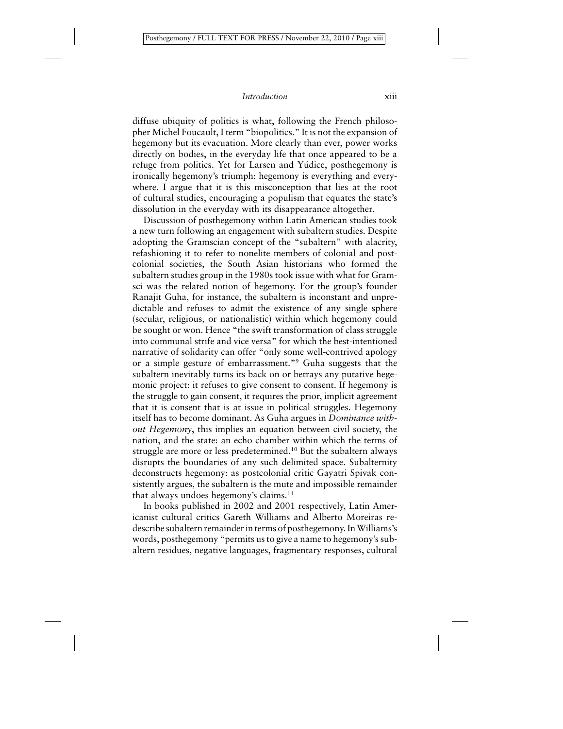*Introduction* xiii

diffuse ubiquity of politics is what, following the French philosopher Michel Foucault, I term "biopolitics." It is not the expansion of hegemony but its evacuation. More clearly than ever, power works directly on bodies, in the everyday life that once appeared to be a refuge from politics. Yet for Larsen and Yúdice, posthegemony is ironically hegemony's triumph: hegemony is everything and everywhere. I argue that it is this misconception that lies at the root of cultural studies, encouraging a populism that equates the state's dissolution in the everyday with its disappearance altogether.

Discussion of posthegemony within Latin American studies took a new turn following an engagement with subaltern studies. Despite adopting the Gramscian concept of the "subaltern" with alacrity, refashioning it to refer to nonelite members of colonial and postcolonial societies, the South Asian historians who formed the subaltern studies group in the 1980s took issue with what for Gramsci was the related notion of hegemony. For the group's founder Ranajit Guha, for instance, the subaltern is inconstant and unpredictable and refuses to admit the existence of any single sphere (secular, religious, or nationalistic) within which hegemony could be sought or won. Hence "the swift transformation of class struggle into communal strife and vice versa" for which the best-intentioned narrative of solidarity can offer "only some well-contrived apology or a simple gesture of embarrassment."9 Guha suggests that the subaltern inevitably turns its back on or betrays any putative hegemonic project: it refuses to give consent to consent. If hegemony is the struggle to gain consent, it requires the prior, implicit agreement that it is consent that is at issue in political struggles. Hegemony itself has to become dominant. As Guha argues in *Dominance without Hegemony*, this implies an equation between civil society, the nation, and the state: an echo chamber within which the terms of struggle are more or less predetermined.10 But the subaltern always disrupts the boundaries of any such delimited space. Subalternity deconstructs hegemony: as postcolonial critic Gayatri Spivak consistently argues, the subaltern is the mute and impossible remainder that always undoes hegemony's claims.11

In books published in 2002 and 2001 respectively, Latin Americanist cultural critics Gareth Williams and Alberto Moreiras redescribe subaltern remainder in terms of posthegemony. InWilliams's words, posthegemony "permits us to give a name to hegemony's subaltern residues, negative languages, fragmentary responses, cultural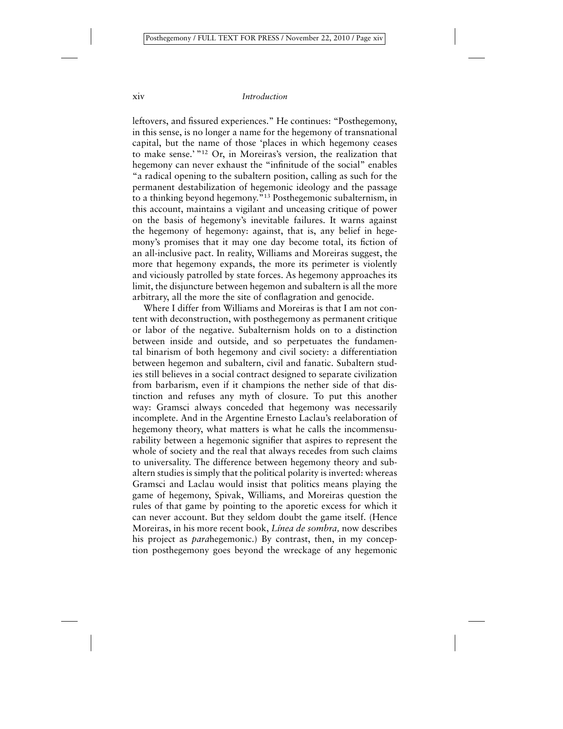xiv *Introduction*

leftovers, and fissured experiences." He continues: "Posthegemony, in this sense, is no longer a name for the hegemony of transnational capital, but the name of those 'places in which hegemony ceases to make sense.' "12 Or, in Moreiras's version, the realization that hegemony can never exhaust the "infinitude of the social" enables "a radical opening to the subaltern position, calling as such for the permanent destabilization of hegemonic ideology and the passage to a thinking beyond hegemony."13 Posthegemonic subalternism, in this account, maintains a vigilant and unceasing critique of power on the basis of hegemony's inevitable failures. It warns against the hegemony of hegemony: against, that is, any belief in hegemony's promises that it may one day become total, its fiction of an all-inclusive pact. In reality, Williams and Moreiras suggest, the more that hegemony expands, the more its perimeter is violently and viciously patrolled by state forces. As hegemony approaches its limit, the disjuncture between hegemon and subaltern is all the more arbitrary, all the more the site of conflagration and genocide.

Where I differ from Williams and Moreiras is that I am not content with deconstruction, with posthegemony as permanent critique or labor of the negative. Subalternism holds on to a distinction between inside and outside, and so perpetuates the fundamental binarism of both hegemony and civil society: a differentiation between hegemon and subaltern, civil and fanatic. Subaltern studies still believes in a social contract designed to separate civilization from barbarism, even if it champions the nether side of that distinction and refuses any myth of closure. To put this another way: Gramsci always conceded that hegemony was necessarily incomplete. And in the Argentine Ernesto Laclau's reelaboration of hegemony theory, what matters is what he calls the incommensurability between a hegemonic signifier that aspires to represent the whole of society and the real that always recedes from such claims to universality. The difference between hegemony theory and subaltern studies is simply that the political polarity is inverted: whereas Gramsci and Laclau would insist that politics means playing the game of hegemony, Spivak, Williams, and Moreiras question the rules of that game by pointing to the aporetic excess for which it can never account. But they seldom doubt the game itself. (Hence Moreiras, in his more recent book, *Línea de sombra,* now describes his project as *para*hegemonic.) By contrast, then, in my conception posthegemony goes beyond the wreckage of any hegemonic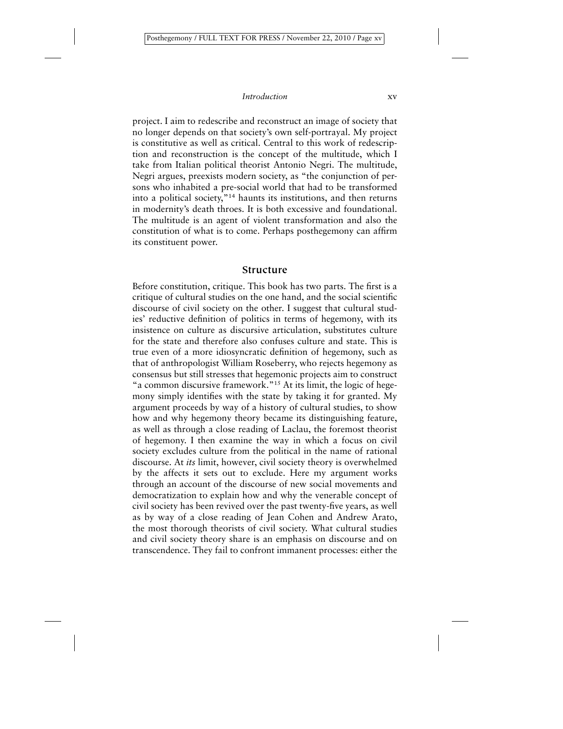#### *Introduction* xv

project. I aim to redescribe and reconstruct an image of society that no longer depends on that society's own self-portrayal. My project is constitutive as well as critical. Central to this work of redescription and reconstruction is the concept of the multitude, which I take from Italian political theorist Antonio Negri. The multitude, Negri argues, preexists modern society, as "the conjunction of persons who inhabited a pre-social world that had to be transformed into a political society,"14 haunts its institutions, and then returns in modernity's death throes. It is both excessive and foundational. The multitude is an agent of violent transformation and also the constitution of what is to come. Perhaps posthegemony can affirm its constituent power.

#### **Structure**

Before constitution, critique. This book has two parts. The first is a critique of cultural studies on the one hand, and the social scientific discourse of civil society on the other. I suggest that cultural studies' reductive definition of politics in terms of hegemony, with its insistence on culture as discursive articulation, substitutes culture for the state and therefore also confuses culture and state. This is true even of a more idiosyncratic definition of hegemony, such as that of anthropologist William Roseberry, who rejects hegemony as consensus but still stresses that hegemonic projects aim to construct "a common discursive framework."15 At its limit, the logic of hegemony simply identifies with the state by taking it for granted. My argument proceeds by way of a history of cultural studies, to show how and why hegemony theory became its distinguishing feature, as well as through a close reading of Laclau, the foremost theorist of hegemony. I then examine the way in which a focus on civil society excludes culture from the political in the name of rational discourse. At *its* limit, however, civil society theory is overwhelmed by the affects it sets out to exclude. Here my argument works through an account of the discourse of new social movements and democratization to explain how and why the venerable concept of civil society has been revived over the past twenty-five years, as well as by way of a close reading of Jean Cohen and Andrew Arato, the most thorough theorists of civil society. What cultural studies and civil society theory share is an emphasis on discourse and on transcendence. They fail to confront immanent processes: either the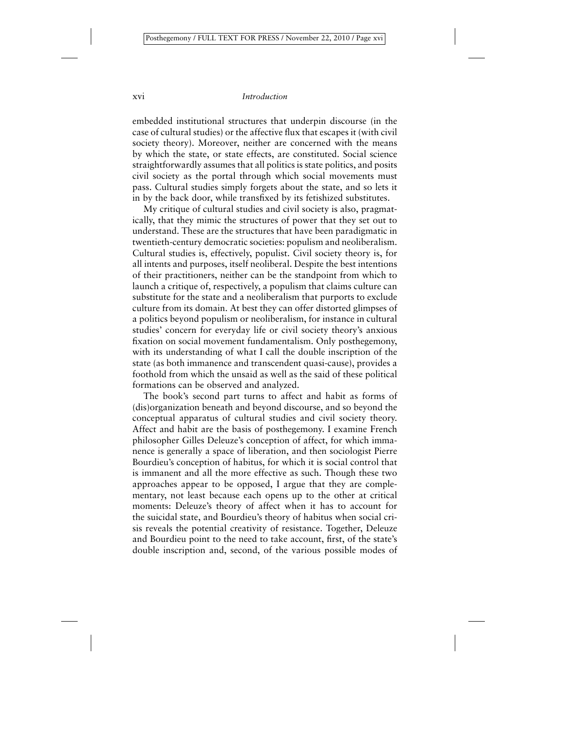#### xvi *Introduction*

embedded institutional structures that underpin discourse (in the case of cultural studies) or the affective flux that escapes it (with civil society theory). Moreover, neither are concerned with the means by which the state, or state effects, are constituted. Social science straightforwardly assumes that all politics is state politics, and posits civil society as the portal through which social movements must pass. Cultural studies simply forgets about the state, and so lets it in by the back door, while transfixed by its fetishized substitutes.

My critique of cultural studies and civil society is also, pragmatically, that they mimic the structures of power that they set out to understand. These are the structures that have been paradigmatic in twentieth-century democratic societies: populism and neoliberalism. Cultural studies is, effectively, populist. Civil society theory is, for all intents and purposes, itself neoliberal. Despite the best intentions of their practitioners, neither can be the standpoint from which to launch a critique of, respectively, a populism that claims culture can substitute for the state and a neoliberalism that purports to exclude culture from its domain. At best they can offer distorted glimpses of a politics beyond populism or neoliberalism, for instance in cultural studies' concern for everyday life or civil society theory's anxious fixation on social movement fundamentalism. Only posthegemony, with its understanding of what I call the double inscription of the state (as both immanence and transcendent quasi-cause), provides a foothold from which the unsaid as well as the said of these political formations can be observed and analyzed.

The book's second part turns to affect and habit as forms of (dis)organization beneath and beyond discourse, and so beyond the conceptual apparatus of cultural studies and civil society theory. Affect and habit are the basis of posthegemony. I examine French philosopher Gilles Deleuze's conception of affect, for which immanence is generally a space of liberation, and then sociologist Pierre Bourdieu's conception of habitus, for which it is social control that is immanent and all the more effective as such. Though these two approaches appear to be opposed, I argue that they are complementary, not least because each opens up to the other at critical moments: Deleuze's theory of affect when it has to account for the suicidal state, and Bourdieu's theory of habitus when social crisis reveals the potential creativity of resistance. Together, Deleuze and Bourdieu point to the need to take account, first, of the state's double inscription and, second, of the various possible modes of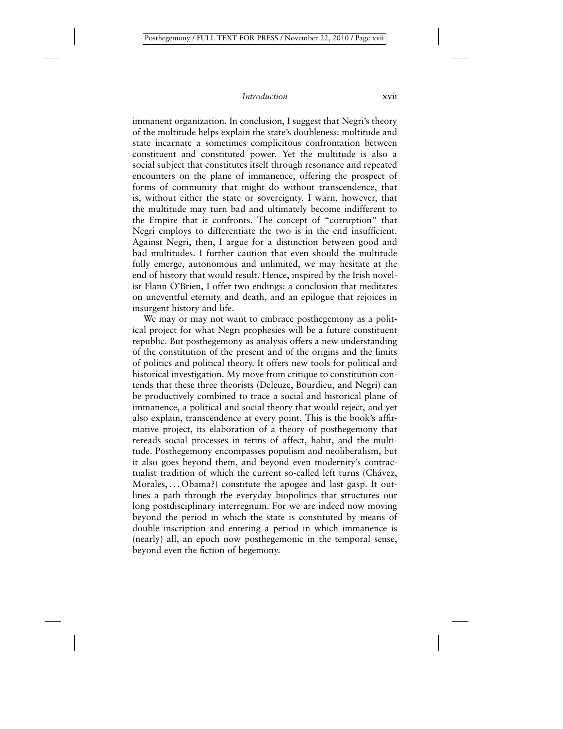*Introduction* xvii

immanent organization. In conclusion, I suggest that Negri's theory of the multitude helps explain the state's doubleness: multitude and state incarnate a sometimes complicitous confrontation between constituent and constituted power. Yet the multitude is also a social subject that constitutes itself through resonance and repeated encounters on the plane of immanence, offering the prospect of forms of community that might do without transcendence, that is, without either the state or sovereignty. I warn, however, that the multitude may turn bad and ultimately become indifferent to the Empire that it confronts. The concept of "corruption" that Negri employs to differentiate the two is in the end insufficient. Against Negri, then, I argue for a distinction between good and bad multitudes. I further caution that even should the multitude fully emerge, autonomous and unlimited, we may hesitate at the end of history that would result. Hence, inspired by the Irish novelist Flann O'Brien, I offer two endings: a conclusion that meditates on uneventful eternity and death, and an epilogue that rejoices in insurgent history and life.

We may or may not want to embrace posthegemony as a political project for what Negri prophesies will be a future constituent republic. But posthegemony as analysis offers a new understanding of the constitution of the present and of the origins and the limits of politics and political theory. It offers new tools for political and historical investigation. My move from critique to constitution contends that these three theorists (Deleuze, Bourdieu, and Negri) can be productively combined to trace a social and historical plane of immanence, a political and social theory that would reject, and yet also explain, transcendence at every point. This is the book's affirmative project, its elaboration of a theory of posthegemony that rereads social processes in terms of affect, habit, and the multitude. Posthegemony encompasses populism and neoliberalism, but it also goes beyond them, and beyond even modernity's contractualist tradition of which the current so-called left turns (Chávez, Morales,... Obama?) constitute the apogee and last gasp. It outlines a path through the everyday biopolitics that structures our long postdisciplinary interregnum. For we are indeed now moving beyond the period in which the state is constituted by means of double inscription and entering a period in which immanence is (nearly) all, an epoch now posthegemonic in the temporal sense, beyond even the fiction of hegemony.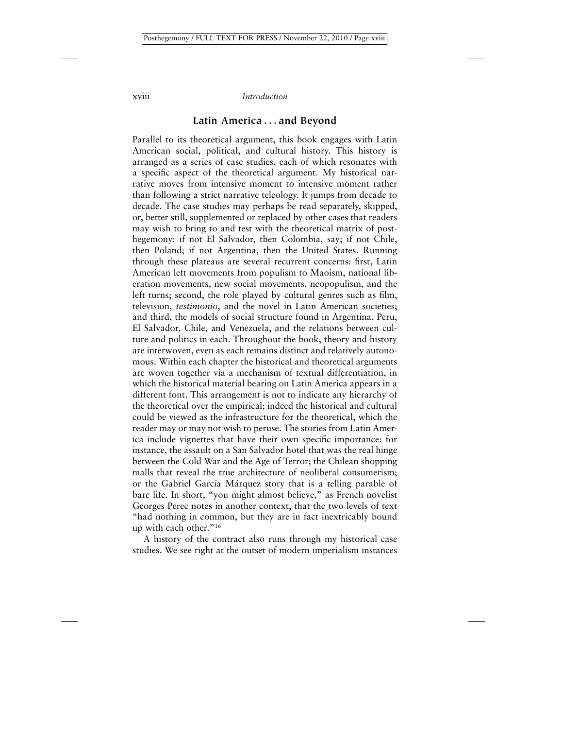xviii *Introduction*

#### **Latin America . . . and Beyond**

Parallel to its theoretical argument, this book engages with Latin American social, political, and cultural history. This history is arranged as a series of case studies, each of which resonates with a specific aspect of the theoretical argument. My historical narrative moves from intensive moment to intensive moment rather than following a strict narrative teleology. It jumps from decade to decade. The case studies may perhaps be read separately, skipped, or, better still, supplemented or replaced by other cases that readers may wish to bring to and test with the theoretical matrix of posthegemony: if not El Salvador, then Colombia, say; if not Chile, then Poland; if not Argentina, then the United States. Running through these plateaus are several recurrent concerns: first, Latin American left movements from populism to Maoism, national liberation movements, new social movements, neopopulism, and the left turns; second, the role played by cultural genres such as film, television, *testimonio*, and the novel in Latin American societies; and third, the models of social structure found in Argentina, Peru, El Salvador, Chile, and Venezuela, and the relations between culture and politics in each. Throughout the book, theory and history are interwoven, even as each remains distinct and relatively autonomous. Within each chapter the historical and theoretical arguments are woven together via a mechanism of textual differentiation, in which the historical material bearing on Latin America appears in a different font. This arrangement is not to indicate any hierarchy of the theoretical over the empirical; indeed the historical and cultural could be viewed as the infrastructure for the theoretical, which the reader may or may not wish to peruse. The stories from Latin America include vignettes that have their own specific importance: for instance, the assault on a San Salvador hotel that was the real hinge between the Cold War and the Age of Terror; the Chilean shopping malls that reveal the true architecture of neoliberal consumerism; or the Gabriel García Márquez story that is a telling parable of bare life. In short, "you might almost believe," as French novelist Georges Perec notes in another context, that the two levels of text "had nothing in common, but they are in fact inextricably bound up with each other."16

A history of the contract also runs through my historical case studies. We see right at the outset of modern imperialism instances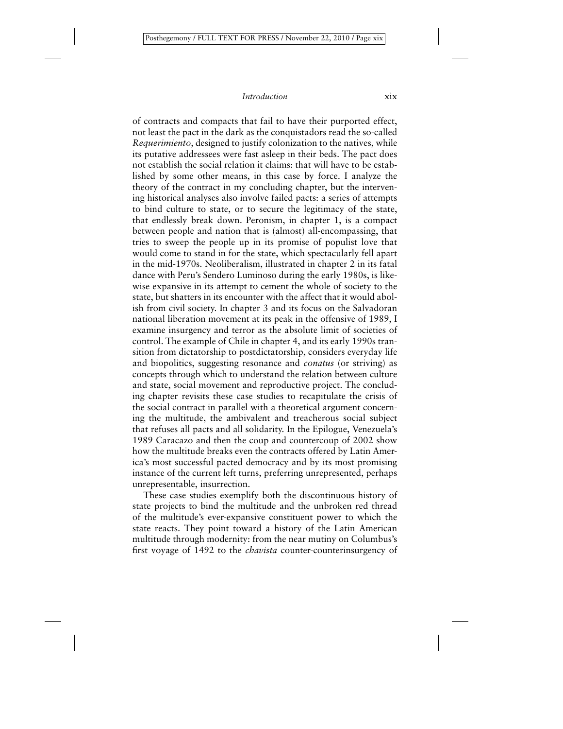*Introduction* xix

of contracts and compacts that fail to have their purported effect, not least the pact in the dark as the conquistadors read the so-called *Requerimiento*, designed to justify colonization to the natives, while its putative addressees were fast asleep in their beds. The pact does not establish the social relation it claims: that will have to be established by some other means, in this case by force. I analyze the theory of the contract in my concluding chapter, but the intervening historical analyses also involve failed pacts: a series of attempts to bind culture to state, or to secure the legitimacy of the state, that endlessly break down. Peronism, in chapter 1, is a compact between people and nation that is (almost) all-encompassing, that tries to sweep the people up in its promise of populist love that would come to stand in for the state, which spectacularly fell apart in the mid-1970s. Neoliberalism, illustrated in chapter 2 in its fatal dance with Peru's Sendero Luminoso during the early 1980s, is likewise expansive in its attempt to cement the whole of society to the state, but shatters in its encounter with the affect that it would abolish from civil society. In chapter 3 and its focus on the Salvadoran national liberation movement at its peak in the offensive of 1989, I examine insurgency and terror as the absolute limit of societies of control. The example of Chile in chapter 4, and its early 1990s transition from dictatorship to postdictatorship, considers everyday life and biopolitics, suggesting resonance and *conatus* (or striving) as concepts through which to understand the relation between culture and state, social movement and reproductive project. The concluding chapter revisits these case studies to recapitulate the crisis of the social contract in parallel with a theoretical argument concerning the multitude, the ambivalent and treacherous social subject that refuses all pacts and all solidarity. In the Epilogue, Venezuela's 1989 Caracazo and then the coup and countercoup of 2002 show how the multitude breaks even the contracts offered by Latin America's most successful pacted democracy and by its most promising instance of the current left turns, preferring unrepresented, perhaps unrepresentable, insurrection.

These case studies exemplify both the discontinuous history of state projects to bind the multitude and the unbroken red thread of the multitude's ever-expansive constituent power to which the state reacts. They point toward a history of the Latin American multitude through modernity: from the near mutiny on Columbus's first voyage of 1492 to the *chavista* counter-counterinsurgency of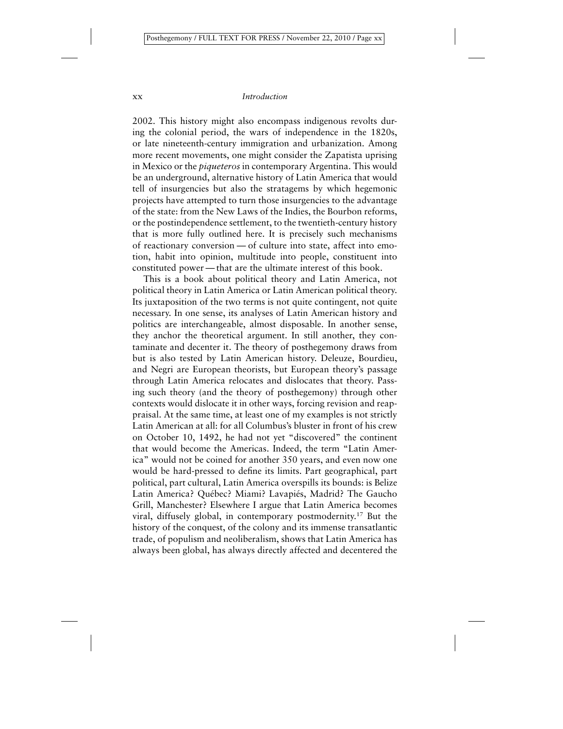#### xx *Introduction*

2002. This history might also encompass indigenous revolts during the colonial period, the wars of independence in the 1820s, or late nineteenth-century immigration and urbanization. Among more recent movements, one might consider the Zapatista uprising in Mexico or the *piqueteros* in contemporary Argentina. This would be an underground, alternative history of Latin America that would tell of insurgencies but also the stratagems by which hegemonic projects have attempted to turn those insurgencies to the advantage of the state: from the New Laws of the Indies, the Bourbon reforms, or the postindependence settlement, to the twentieth-century history that is more fully outlined here. It is precisely such mechanisms of reactionary conversion — of culture into state, affect into emotion, habit into opinion, multitude into people, constituent into constituted power — that are the ultimate interest of this book.

This is a book about political theory and Latin America, not political theory in Latin America or Latin American political theory. Its juxtaposition of the two terms is not quite contingent, not quite necessary. In one sense, its analyses of Latin American history and politics are interchangeable, almost disposable. In another sense, they anchor the theoretical argument. In still another, they contaminate and decenter it. The theory of posthegemony draws from but is also tested by Latin American history. Deleuze, Bourdieu, and Negri are European theorists, but European theory's passage through Latin America relocates and dislocates that theory. Passing such theory (and the theory of posthegemony) through other contexts would dislocate it in other ways, forcing revision and reappraisal. At the same time, at least one of my examples is not strictly Latin American at all: for all Columbus's bluster in front of his crew on October 10, 1492, he had not yet "discovered" the continent that would become the Americas. Indeed, the term "Latin America" would not be coined for another 350 years, and even now one would be hard-pressed to define its limits. Part geographical, part political, part cultural, Latin America overspills its bounds: is Belize Latin America? Québec? Miami? Lavapiés, Madrid? The Gaucho Grill, Manchester? Elsewhere I argue that Latin America becomes viral, diffusely global, in contemporary postmodernity.17 But the history of the conquest, of the colony and its immense transatlantic trade, of populism and neoliberalism, shows that Latin America has always been global, has always directly affected and decentered the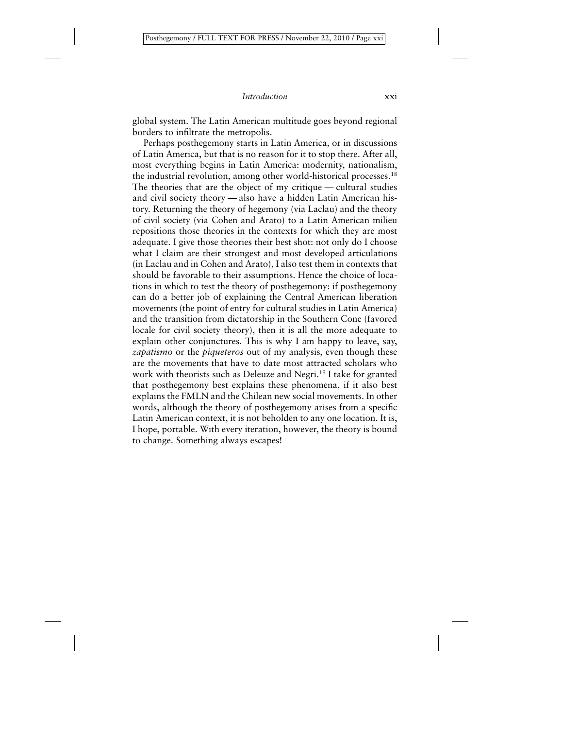*Introduction* xxi

global system. The Latin American multitude goes beyond regional borders to infiltrate the metropolis.

Perhaps posthegemony starts in Latin America, or in discussions of Latin America, but that is no reason for it to stop there. After all, most everything begins in Latin America: modernity, nationalism, the industrial revolution, among other world-historical processes.18 The theories that are the object of my critique — cultural studies and civil society theory — also have a hidden Latin American history. Returning the theory of hegemony (via Laclau) and the theory of civil society (via Cohen and Arato) to a Latin American milieu repositions those theories in the contexts for which they are most adequate. I give those theories their best shot: not only do I choose what I claim are their strongest and most developed articulations (in Laclau and in Cohen and Arato), I also test them in contexts that should be favorable to their assumptions. Hence the choice of locations in which to test the theory of posthegemony: if posthegemony can do a better job of explaining the Central American liberation movements (the point of entry for cultural studies in Latin America) and the transition from dictatorship in the Southern Cone (favored locale for civil society theory), then it is all the more adequate to explain other conjunctures. This is why I am happy to leave, say, *zapatismo* or the *piqueteros* out of my analysis, even though these are the movements that have to date most attracted scholars who work with theorists such as Deleuze and Negri.<sup>19</sup> I take for granted that posthegemony best explains these phenomena, if it also best explains the FMLN and the Chilean new social movements. In other words, although the theory of posthegemony arises from a specific Latin American context, it is not beholden to any one location. It is, I hope, portable. With every iteration, however, the theory is bound to change. Something always escapes!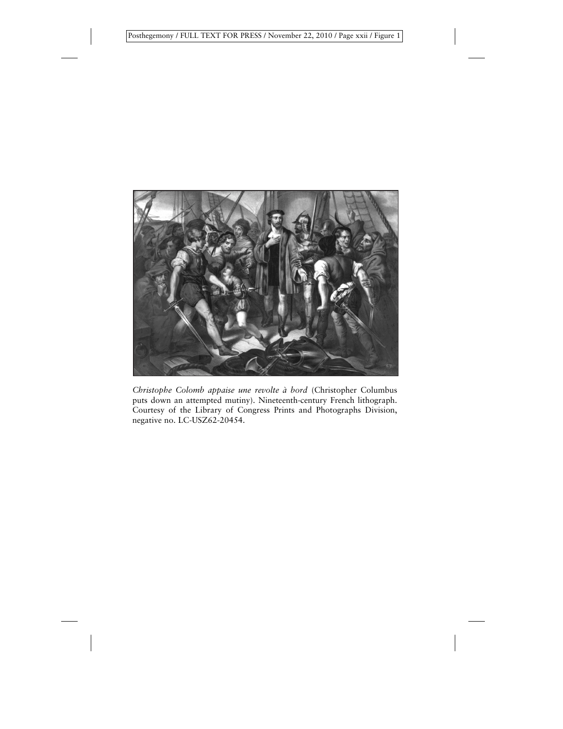

*Christophe Colomb appaise une revolte à bord* (Christopher Columbus puts down an attempted mutiny). Nineteenth-century French lithograph. Courtesy of the Library of Congress Prints and Photographs Division, negative no. LC-USZ62-20454.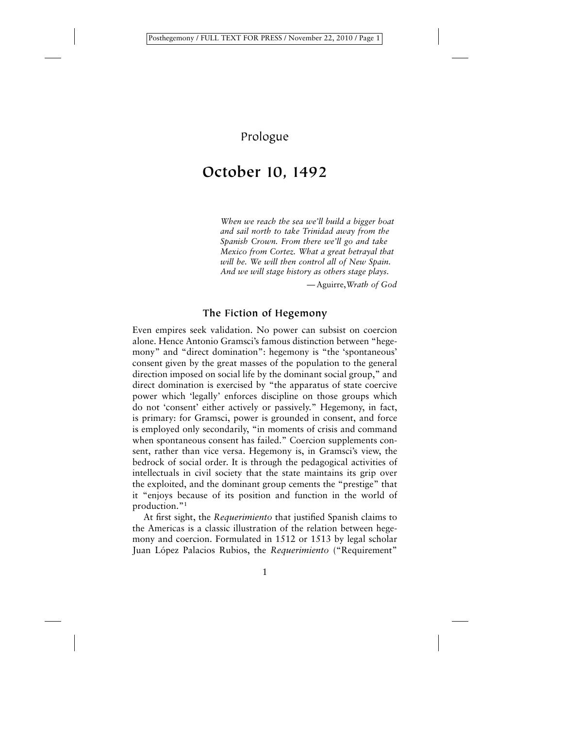# **October 10, 1492**

*When we reach the sea we'll build a bigger boat and sail north to take Trinidad away from the Spanish Crown. From there we'll go and take Mexico from Cortez. What a great betrayal that will be. We will then control all of New Spain. And we will stage history as others stage plays.*

— Aguirre,*Wrath of God*

#### **The Fiction of Hegemony**

Even empires seek validation. No power can subsist on coercion alone. Hence Antonio Gramsci's famous distinction between "hegemony" and "direct domination": hegemony is "the 'spontaneous' consent given by the great masses of the population to the general direction imposed on social life by the dominant social group," and direct domination is exercised by "the apparatus of state coercive power which 'legally' enforces discipline on those groups which do not 'consent' either actively or passively." Hegemony, in fact, is primary: for Gramsci, power is grounded in consent, and force is employed only secondarily, "in moments of crisis and command when spontaneous consent has failed." Coercion supplements consent, rather than vice versa. Hegemony is, in Gramsci's view, the bedrock of social order. It is through the pedagogical activities of intellectuals in civil society that the state maintains its grip over the exploited, and the dominant group cements the "prestige" that it "enjoys because of its position and function in the world of production."1

At first sight, the *Requerimiento* that justified Spanish claims to the Americas is a classic illustration of the relation between hegemony and coercion. Formulated in 1512 or 1513 by legal scholar Juan López Palacios Rubios, the *Requerimiento* ("Requirement"

1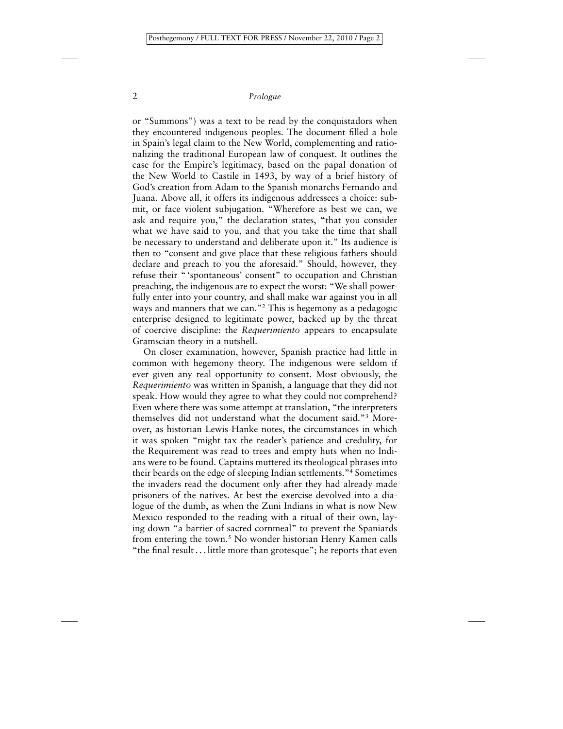or "Summons") was a text to be read by the conquistadors when they encountered indigenous peoples. The document filled a hole in Spain's legal claim to the New World, complementing and rationalizing the traditional European law of conquest. It outlines the case for the Empire's legitimacy, based on the papal donation of the New World to Castile in 1493, by way of a brief history of God's creation from Adam to the Spanish monarchs Fernando and Juana. Above all, it offers its indigenous addressees a choice: submit, or face violent subjugation. "Wherefore as best we can, we ask and require you," the declaration states, "that you consider what we have said to you, and that you take the time that shall be necessary to understand and deliberate upon it." Its audience is then to "consent and give place that these religious fathers should declare and preach to you the aforesaid." Should, however, they refuse their " 'spontaneous' consent" to occupation and Christian preaching, the indigenous are to expect the worst: "We shall powerfully enter into your country, and shall make war against you in all ways and manners that we can."2 This is hegemony as a pedagogic enterprise designed to legitimate power, backed up by the threat of coercive discipline: the *Requerimiento* appears to encapsulate Gramscian theory in a nutshell.

On closer examination, however, Spanish practice had little in common with hegemony theory. The indigenous were seldom if ever given any real opportunity to consent. Most obviously, the *Requerimiento* was written in Spanish, a language that they did not speak. How would they agree to what they could not comprehend? Even where there was some attempt at translation, "the interpreters themselves did not understand what the document said."3 Moreover, as historian Lewis Hanke notes, the circumstances in which it was spoken "might tax the reader's patience and credulity, for the Requirement was read to trees and empty huts when no Indians were to be found. Captains muttered its theological phrases into their beards on the edge of sleeping Indian settlements."4 Sometimes the invaders read the document only after they had already made prisoners of the natives. At best the exercise devolved into a dialogue of the dumb, as when the Zuni Indians in what is now New Mexico responded to the reading with a ritual of their own, laying down "a barrier of sacred cornmeal" to prevent the Spaniards from entering the town.<sup>5</sup> No wonder historian Henry Kamen calls "the final result... little more than grotesque"; he reports that even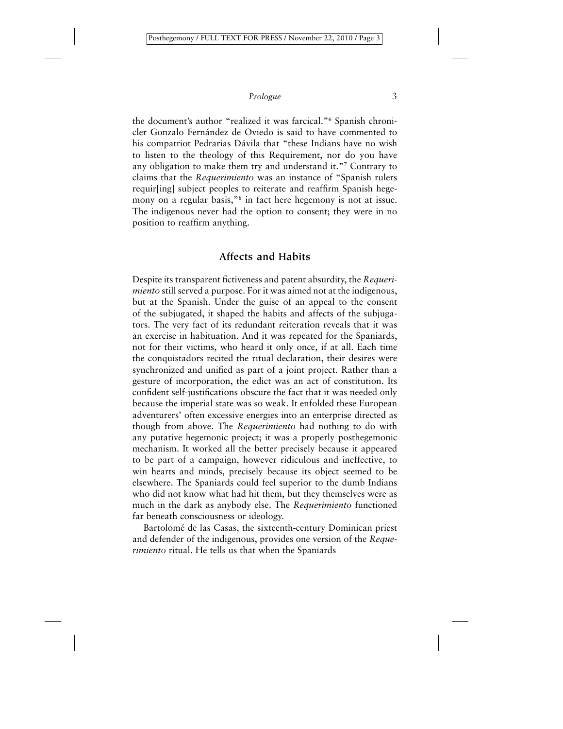the document's author "realized it was farcical."6 Spanish chronicler Gonzalo Fernández de Oviedo is said to have commented to his compatriot Pedrarias Dávila that "these Indians have no wish to listen to the theology of this Requirement, nor do you have any obligation to make them try and understand it."7 Contrary to claims that the *Requerimiento* was an instance of "Spanish rulers requir[ing] subject peoples to reiterate and reaffirm Spanish hegemony on a regular basis,"8 in fact here hegemony is not at issue. The indigenous never had the option to consent; they were in no position to reaffirm anything.

#### **Affects and Habits**

Despite its transparent fictiveness and patent absurdity, the *Requerimiento* still served a purpose. For it was aimed not at the indigenous, but at the Spanish. Under the guise of an appeal to the consent of the subjugated, it shaped the habits and affects of the subjugators. The very fact of its redundant reiteration reveals that it was an exercise in habituation. And it was repeated for the Spaniards, not for their victims, who heard it only once, if at all. Each time the conquistadors recited the ritual declaration, their desires were synchronized and unified as part of a joint project. Rather than a gesture of incorporation, the edict was an act of constitution. Its confident self-justifications obscure the fact that it was needed only because the imperial state was so weak. It enfolded these European adventurers' often excessive energies into an enterprise directed as though from above. The *Requerimiento* had nothing to do with any putative hegemonic project; it was a properly posthegemonic mechanism. It worked all the better precisely because it appeared to be part of a campaign, however ridiculous and ineffective, to win hearts and minds, precisely because its object seemed to be elsewhere. The Spaniards could feel superior to the dumb Indians who did not know what had hit them, but they themselves were as much in the dark as anybody else. The *Requerimiento* functioned far beneath consciousness or ideology.

Bartolomé de las Casas, the sixteenth-century Dominican priest and defender of the indigenous, provides one version of the *Requerimiento* ritual. He tells us that when the Spaniards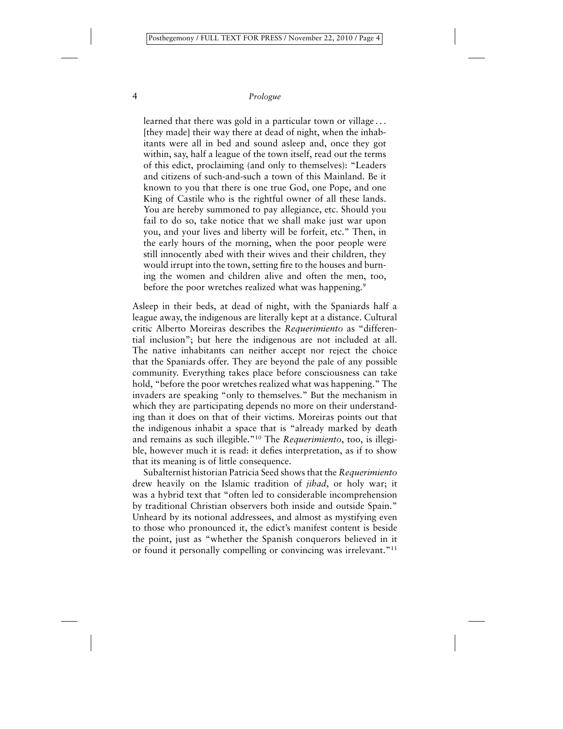learned that there was gold in a particular town or village... [they made] their way there at dead of night, when the inhabitants were all in bed and sound asleep and, once they got within, say, half a league of the town itself, read out the terms of this edict, proclaiming (and only to themselves): "Leaders and citizens of such-and-such a town of this Mainland. Be it known to you that there is one true God, one Pope, and one King of Castile who is the rightful owner of all these lands. You are hereby summoned to pay allegiance, etc. Should you fail to do so, take notice that we shall make just war upon you, and your lives and liberty will be forfeit, etc." Then, in the early hours of the morning, when the poor people were still innocently abed with their wives and their children, they would irrupt into the town, setting fire to the houses and burning the women and children alive and often the men, too, before the poor wretches realized what was happening.<sup>9</sup>

Asleep in their beds, at dead of night, with the Spaniards half a league away, the indigenous are literally kept at a distance. Cultural critic Alberto Moreiras describes the *Requerimiento* as "differential inclusion"; but here the indigenous are not included at all. The native inhabitants can neither accept nor reject the choice that the Spaniards offer. They are beyond the pale of any possible community. Everything takes place before consciousness can take hold, "before the poor wretches realized what was happening." The invaders are speaking "only to themselves." But the mechanism in which they are participating depends no more on their understanding than it does on that of their victims. Moreiras points out that the indigenous inhabit a space that is "already marked by death and remains as such illegible."10 The *Requerimiento*, too, is illegible, however much it is read: it defies interpretation, as if to show that its meaning is of little consequence.

Subalternist historian Patricia Seed shows that the *Requerimiento* drew heavily on the Islamic tradition of *jihad*, or holy war; it was a hybrid text that "often led to considerable incomprehension by traditional Christian observers both inside and outside Spain." Unheard by its notional addressees, and almost as mystifying even to those who pronounced it, the edict's manifest content is beside the point, just as "whether the Spanish conquerors believed in it or found it personally compelling or convincing was irrelevant."11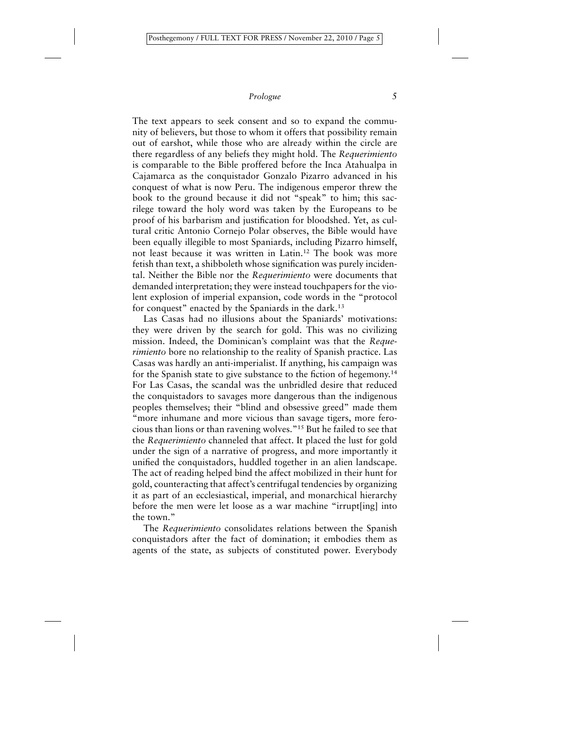The text appears to seek consent and so to expand the community of believers, but those to whom it offers that possibility remain out of earshot, while those who are already within the circle are there regardless of any beliefs they might hold. The *Requerimiento* is comparable to the Bible proffered before the Inca Atahualpa in Cajamarca as the conquistador Gonzalo Pizarro advanced in his conquest of what is now Peru. The indigenous emperor threw the book to the ground because it did not "speak" to him; this sacrilege toward the holy word was taken by the Europeans to be proof of his barbarism and justification for bloodshed. Yet, as cultural critic Antonio Cornejo Polar observes, the Bible would have been equally illegible to most Spaniards, including Pizarro himself, not least because it was written in Latin.12 The book was more fetish than text, a shibboleth whose signification was purely incidental. Neither the Bible nor the *Requerimiento* were documents that demanded interpretation; they were instead touchpapers for the violent explosion of imperial expansion, code words in the "protocol for conquest" enacted by the Spaniards in the dark.13

Las Casas had no illusions about the Spaniards' motivations: they were driven by the search for gold. This was no civilizing mission. Indeed, the Dominican's complaint was that the *Requerimiento* bore no relationship to the reality of Spanish practice. Las Casas was hardly an anti-imperialist. If anything, his campaign was for the Spanish state to give substance to the fiction of hegemony.14 For Las Casas, the scandal was the unbridled desire that reduced the conquistadors to savages more dangerous than the indigenous peoples themselves; their "blind and obsessive greed" made them "more inhumane and more vicious than savage tigers, more ferocious than lions or than ravening wolves."15 But he failed to see that the *Requerimiento* channeled that affect. It placed the lust for gold under the sign of a narrative of progress, and more importantly it unified the conquistadors, huddled together in an alien landscape. The act of reading helped bind the affect mobilized in their hunt for gold, counteracting that affect's centrifugal tendencies by organizing it as part of an ecclesiastical, imperial, and monarchical hierarchy before the men were let loose as a war machine "irrupt[ing] into the town."

The *Requerimiento* consolidates relations between the Spanish conquistadors after the fact of domination; it embodies them as agents of the state, as subjects of constituted power. Everybody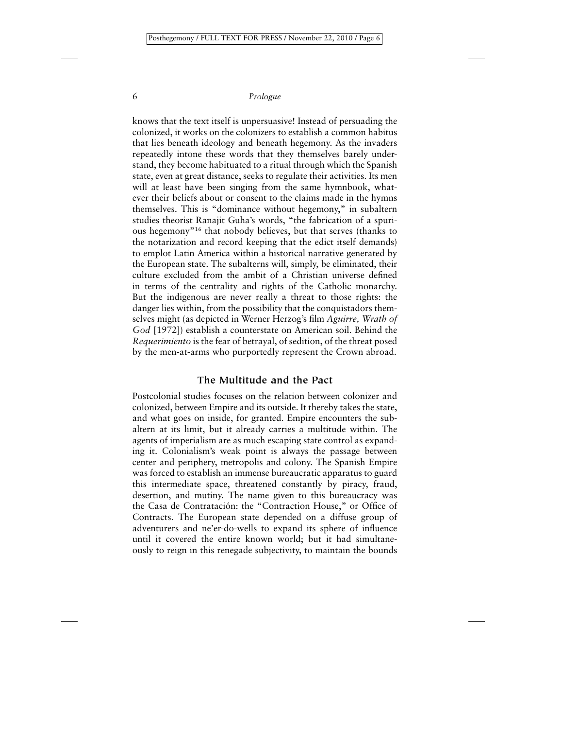knows that the text itself is unpersuasive! Instead of persuading the colonized, it works on the colonizers to establish a common habitus that lies beneath ideology and beneath hegemony. As the invaders repeatedly intone these words that they themselves barely understand, they become habituated to a ritual through which the Spanish state, even at great distance, seeks to regulate their activities. Its men will at least have been singing from the same hymnbook, whatever their beliefs about or consent to the claims made in the hymns themselves. This is "dominance without hegemony," in subaltern studies theorist Ranajit Guha's words, "the fabrication of a spurious hegemony"16 that nobody believes, but that serves (thanks to the notarization and record keeping that the edict itself demands) to emplot Latin America within a historical narrative generated by the European state. The subalterns will, simply, be eliminated, their culture excluded from the ambit of a Christian universe defined in terms of the centrality and rights of the Catholic monarchy. But the indigenous are never really a threat to those rights: the danger lies within, from the possibility that the conquistadors themselves might (as depicted in Werner Herzog's film *Aguirre, Wrath of God* [1972]) establish a counterstate on American soil. Behind the *Requerimiento* is the fear of betrayal, of sedition, of the threat posed by the men-at-arms who purportedly represent the Crown abroad.

#### **The Multitude and the Pact**

Postcolonial studies focuses on the relation between colonizer and colonized, between Empire and its outside. It thereby takes the state, and what goes on inside, for granted. Empire encounters the subaltern at its limit, but it already carries a multitude within. The agents of imperialism are as much escaping state control as expanding it. Colonialism's weak point is always the passage between center and periphery, metropolis and colony. The Spanish Empire was forced to establish an immense bureaucratic apparatus to guard this intermediate space, threatened constantly by piracy, fraud, desertion, and mutiny. The name given to this bureaucracy was the Casa de Contratación: the "Contraction House," or Office of Contracts. The European state depended on a diffuse group of adventurers and ne'er-do-wells to expand its sphere of influence until it covered the entire known world; but it had simultaneously to reign in this renegade subjectivity, to maintain the bounds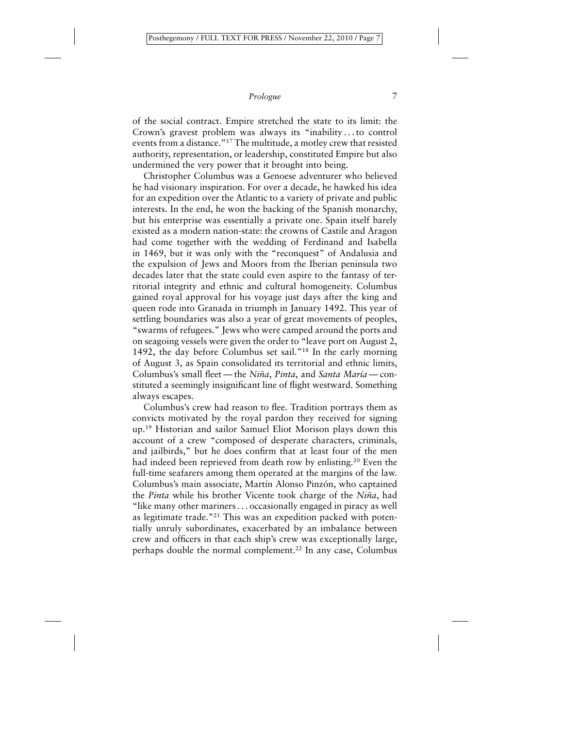of the social contract. Empire stretched the state to its limit: the Crown's gravest problem was always its "inability . . . to control events from a distance."17 The multitude, a motley crew that resisted authority, representation, or leadership, constituted Empire but also undermined the very power that it brought into being.

Christopher Columbus was a Genoese adventurer who believed he had visionary inspiration. For over a decade, he hawked his idea for an expedition over the Atlantic to a variety of private and public interests. In the end, he won the backing of the Spanish monarchy, but his enterprise was essentially a private one. Spain itself barely existed as a modern nation-state: the crowns of Castile and Aragon had come together with the wedding of Ferdinand and Isabella in 1469, but it was only with the "reconquest" of Andalusia and the expulsion of Jews and Moors from the Iberian peninsula two decades later that the state could even aspire to the fantasy of territorial integrity and ethnic and cultural homogeneity. Columbus gained royal approval for his voyage just days after the king and queen rode into Granada in triumph in January 1492. This year of settling boundaries was also a year of great movements of peoples, "swarms of refugees." Jews who were camped around the ports and on seagoing vessels were given the order to "leave port on August 2, 1492, the day before Columbus set sail."18 In the early morning of August 3, as Spain consolidated its territorial and ethnic limits, Columbus's small fleet — the *Niña*, *Pinta*, and *Santa María* — constituted a seemingly insignificant line of flight westward. Something always escapes.

Columbus's crew had reason to flee. Tradition portrays them as convicts motivated by the royal pardon they received for signing up.19 Historian and sailor Samuel Eliot Morison plays down this account of a crew "composed of desperate characters, criminals, and jailbirds," but he does confirm that at least four of the men had indeed been reprieved from death row by enlisting.<sup>20</sup> Even the full-time seafarers among them operated at the margins of the law. Columbus's main associate, Martín Alonso Pinzón, who captained the *Pinta* while his brother Vicente took charge of the *Niña*, had "like many other mariners... occasionally engaged in piracy as well as legitimate trade."21 This was an expedition packed with potentially unruly subordinates, exacerbated by an imbalance between crew and officers in that each ship's crew was exceptionally large, perhaps double the normal complement.22 In any case, Columbus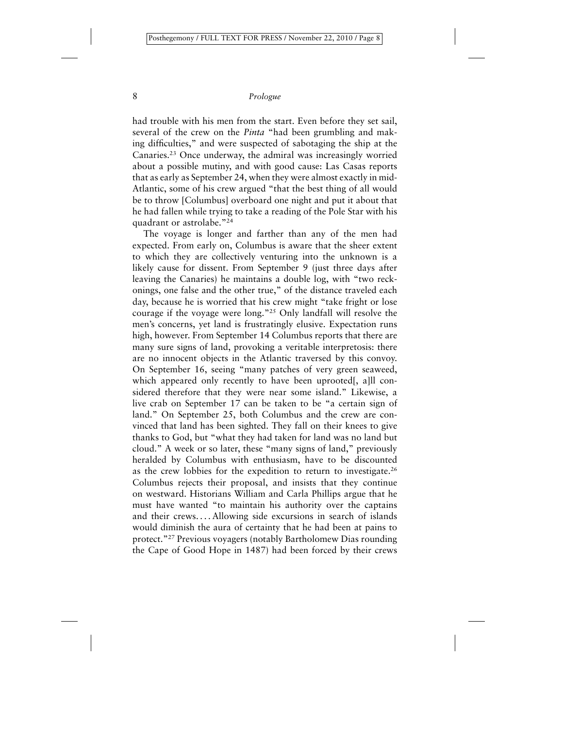had trouble with his men from the start. Even before they set sail, several of the crew on the *Pinta* "had been grumbling and making difficulties," and were suspected of sabotaging the ship at the Canaries.23 Once underway, the admiral was increasingly worried about a possible mutiny, and with good cause: Las Casas reports that as early as September 24, when they were almost exactly in mid-Atlantic, some of his crew argued "that the best thing of all would be to throw [Columbus] overboard one night and put it about that he had fallen while trying to take a reading of the Pole Star with his quadrant or astrolabe."24

The voyage is longer and farther than any of the men had expected. From early on, Columbus is aware that the sheer extent to which they are collectively venturing into the unknown is a likely cause for dissent. From September 9 (just three days after leaving the Canaries) he maintains a double log, with "two reckonings, one false and the other true," of the distance traveled each day, because he is worried that his crew might "take fright or lose courage if the voyage were long."25 Only landfall will resolve the men's concerns, yet land is frustratingly elusive. Expectation runs high, however. From September 14 Columbus reports that there are many sure signs of land, provoking a veritable interpretosis: there are no innocent objects in the Atlantic traversed by this convoy. On September 16, seeing "many patches of very green seaweed, which appeared only recently to have been uprooted. allequently considered therefore that they were near some island." Likewise, a live crab on September 17 can be taken to be "a certain sign of land." On September 25, both Columbus and the crew are convinced that land has been sighted. They fall on their knees to give thanks to God, but "what they had taken for land was no land but cloud." A week or so later, these "many signs of land," previously heralded by Columbus with enthusiasm, have to be discounted as the crew lobbies for the expedition to return to investigate.26 Columbus rejects their proposal, and insists that they continue on westward. Historians William and Carla Phillips argue that he must have wanted "to maintain his authority over the captains and their crews.... Allowing side excursions in search of islands would diminish the aura of certainty that he had been at pains to protect."27 Previous voyagers (notably Bartholomew Dias rounding the Cape of Good Hope in 1487) had been forced by their crews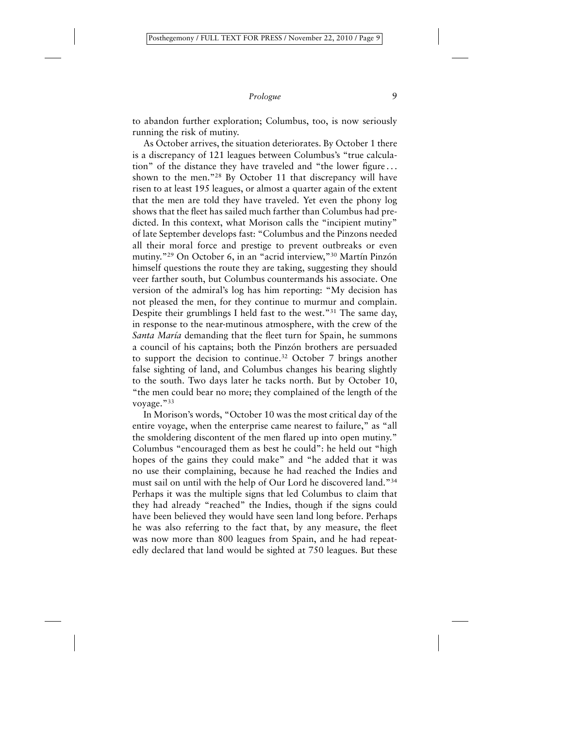to abandon further exploration; Columbus, too, is now seriously running the risk of mutiny.

As October arrives, the situation deteriorates. By October 1 there is a discrepancy of 121 leagues between Columbus's "true calculation" of the distance they have traveled and "the lower figure... shown to the men."<sup>28</sup> By October 11 that discrepancy will have risen to at least 195 leagues, or almost a quarter again of the extent that the men are told they have traveled. Yet even the phony log shows that the fleet has sailed much farther than Columbus had predicted. In this context, what Morison calls the "incipient mutiny" of late September develops fast: "Columbus and the Pinzons needed all their moral force and prestige to prevent outbreaks or even mutiny."29 On October 6, in an "acrid interview,"30 Martín Pinzón himself questions the route they are taking, suggesting they should veer farther south, but Columbus countermands his associate. One version of the admiral's log has him reporting: "My decision has not pleased the men, for they continue to murmur and complain. Despite their grumblings I held fast to the west."31 The same day, in response to the near-mutinous atmosphere, with the crew of the *Santa María* demanding that the fleet turn for Spain, he summons a council of his captains; both the Pinzón brothers are persuaded to support the decision to continue.32 October 7 brings another false sighting of land, and Columbus changes his bearing slightly to the south. Two days later he tacks north. But by October 10, "the men could bear no more; they complained of the length of the voyage."33

In Morison's words, "October 10 was the most critical day of the entire voyage, when the enterprise came nearest to failure," as "all the smoldering discontent of the men flared up into open mutiny." Columbus "encouraged them as best he could": he held out "high hopes of the gains they could make" and "he added that it was no use their complaining, because he had reached the Indies and must sail on until with the help of Our Lord he discovered land."34 Perhaps it was the multiple signs that led Columbus to claim that they had already "reached" the Indies, though if the signs could have been believed they would have seen land long before. Perhaps he was also referring to the fact that, by any measure, the fleet was now more than 800 leagues from Spain, and he had repeatedly declared that land would be sighted at 750 leagues. But these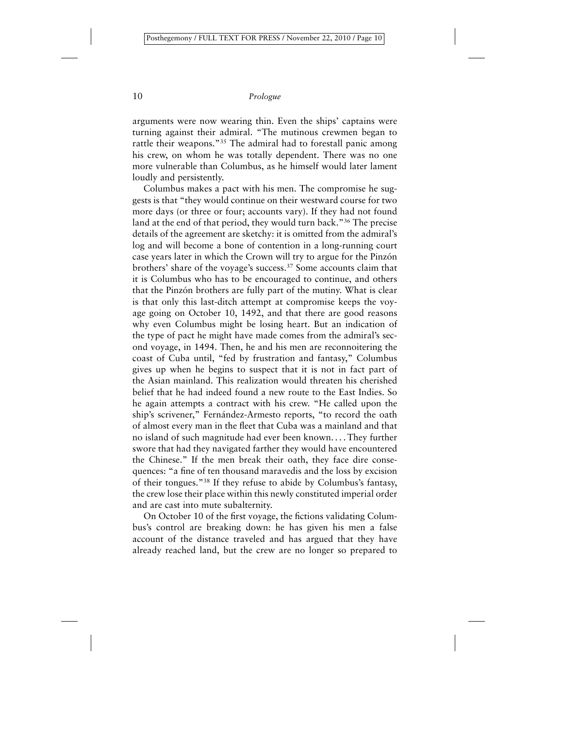arguments were now wearing thin. Even the ships' captains were turning against their admiral. "The mutinous crewmen began to rattle their weapons."<sup>35</sup> The admiral had to forestall panic among his crew, on whom he was totally dependent. There was no one more vulnerable than Columbus, as he himself would later lament loudly and persistently.

Columbus makes a pact with his men. The compromise he suggests is that "they would continue on their westward course for two more days (or three or four; accounts vary). If they had not found land at the end of that period, they would turn back."36 The precise details of the agreement are sketchy: it is omitted from the admiral's log and will become a bone of contention in a long-running court case years later in which the Crown will try to argue for the Pinzón brothers' share of the voyage's success.37 Some accounts claim that it is Columbus who has to be encouraged to continue, and others that the Pinzón brothers are fully part of the mutiny. What is clear is that only this last-ditch attempt at compromise keeps the voyage going on October 10, 1492, and that there are good reasons why even Columbus might be losing heart. But an indication of the type of pact he might have made comes from the admiral's second voyage, in 1494. Then, he and his men are reconnoitering the coast of Cuba until, "fed by frustration and fantasy," Columbus gives up when he begins to suspect that it is not in fact part of the Asian mainland. This realization would threaten his cherished belief that he had indeed found a new route to the East Indies. So he again attempts a contract with his crew. "He called upon the ship's scrivener," Fernández-Armesto reports, "to record the oath of almost every man in the fleet that Cuba was a mainland and that no island of such magnitude had ever been known.... They further swore that had they navigated farther they would have encountered the Chinese." If the men break their oath, they face dire consequences: "a fine of ten thousand maravedis and the loss by excision of their tongues."38 If they refuse to abide by Columbus's fantasy, the crew lose their place within this newly constituted imperial order and are cast into mute subalternity.

On October 10 of the first voyage, the fictions validating Columbus's control are breaking down: he has given his men a false account of the distance traveled and has argued that they have already reached land, but the crew are no longer so prepared to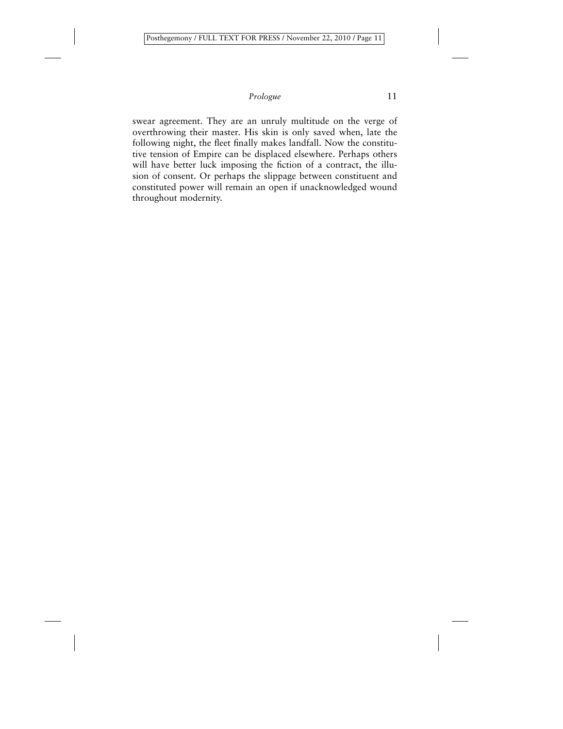swear agreement. They are an unruly multitude on the verge of overthrowing their master. His skin is only saved when, late the following night, the fleet finally makes landfall. Now the constitutive tension of Empire can be displaced elsewhere. Perhaps others will have better luck imposing the fiction of a contract, the illusion of consent. Or perhaps the slippage between constituent and constituted power will remain an open if unacknowledged wound throughout modernity.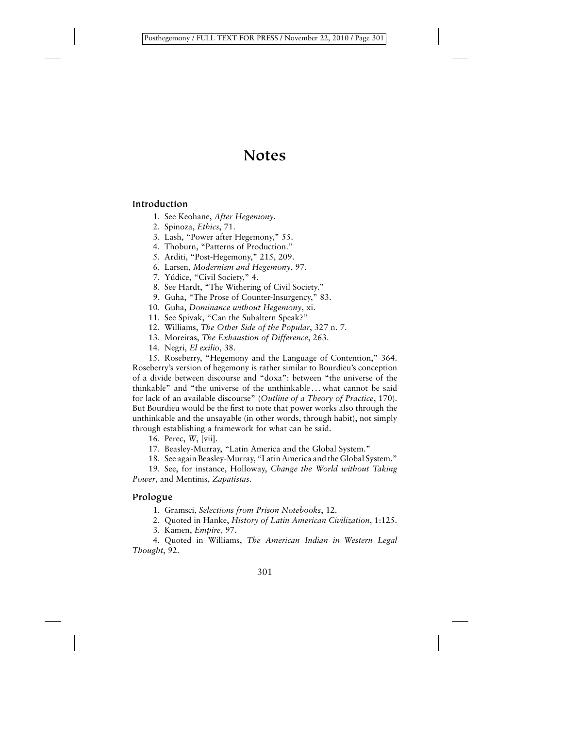# **Notes**

#### **Introduction**

- 1. See Keohane, *After Hegemony*.
- 2. Spinoza, *Ethics*, 71.
- 3. Lash, "Power after Hegemony," 55.
- 4. Thoburn, "Patterns of Production."
- 5. Arditi, "Post-Hegemony," 215, 209.
- 6. Larsen, *Modernism and Hegemony*, 97.
- 7. Yúdice, "Civil Society," 4.
- 8. See Hardt, "The Withering of Civil Society."
- 9. Guha, "The Prose of Counter-Insurgency," 83.
- 10. Guha, *Dominance without Hegemony*, xi.
- 11. See Spivak, "Can the Subaltern Speak?"
- 12. Williams, *The Other Side of the Popular*, 327 n. 7.
- 13. Moreiras, *The Exhaustion of Difference*, 263.
- 14. Negri, *El exilio*, 38.
- 15. Roseberry, "Hegemony and the Language of Contention," 364.

Roseberry's version of hegemony is rather similar to Bourdieu's conception of a divide between discourse and "doxa": between "the universe of the thinkable" and "the universe of the unthinkable... what cannot be said for lack of an available discourse" (*Outline of a Theory of Practice*, 170). But Bourdieu would be the first to note that power works also through the unthinkable and the unsayable (in other words, through habit), not simply through establishing a framework for what can be said.

16. Perec, *W*, [vii].

- 17. Beasley-Murray, "Latin America and the Global System."
- 18. See again Beasley-Murray, "Latin America and the Global System."

19. See, for instance, Holloway, *Change the World without Taking Power*, and Mentinis, *Zapatistas*.

#### **Prologue**

1. Gramsci, *Selections from Prison Notebooks*, 12.

- 2. Quoted in Hanke, *History of Latin American Civilization*, 1:125.
- 3. Kamen, *Empire*, 97.

4. Quoted in Williams, *The American Indian in Western Legal Thought*, 92.

#### 301